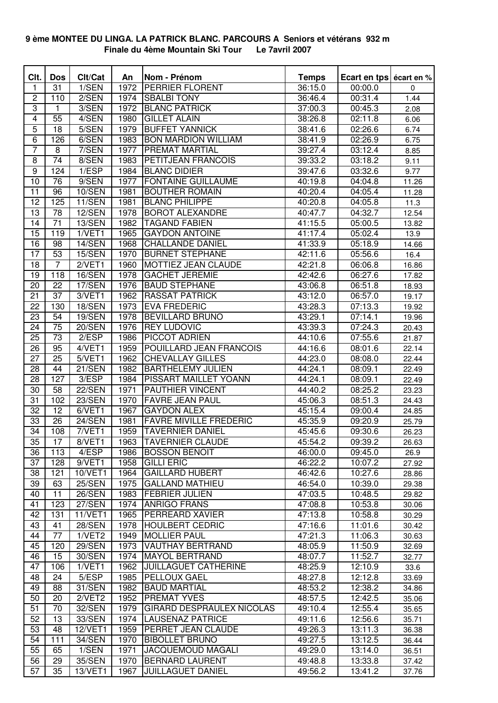## 9 ème MONTEE DU LINGA. LA PATRICK BLANC. PARCOURS A Seniors et vétérans 932 m Finale du 4ème Mountain Ski Tour Le 7avril 2007

| Clt.            | <b>Dos</b>      | Clt/Cat        | An   | Nom - Prénom                     | <b>Temps</b> | Ecart en tps ecart en % |             |
|-----------------|-----------------|----------------|------|----------------------------------|--------------|-------------------------|-------------|
| 1               | 31              | 1/SEN          | 1972 | <b>PERRIER FLORENT</b>           | 36:15.0      | 00:00.0                 | $\mathbf 0$ |
| $\overline{c}$  | 110             | 2/SEN          | 1974 | <b>SBALBI TONY</b>               | 36:46.4      | 00:31.4                 | 1.44        |
| 3               | 1               | 3/SEN          | 1972 | <b>BLANC PATRICK</b>             | 37:00.3      | 00:45.3                 | 2.08        |
| $\overline{4}$  | 55              | 4/SEN          | 1980 | <b>GILLET ALAIN</b>              | 38:26.8      | 02:11.8                 | 6.06        |
| 5               | 18              | 5/SEN          | 1979 | <b>BUFFET YANNICK</b>            | 38:41.6      | 02:26.6                 | 6.74        |
| 6               | 126             | 6/SEN          | 1983 | <b>BON MARDION WILLIAM</b>       | 38:41.9      | 02:26.9                 | 6.75        |
| $\overline{7}$  | 8               | 7/SEN          | 1977 | <b>PREMAT MARTIAL</b>            | 39:27.4      | 03:12.4                 | 8.85        |
| 8               | $\overline{74}$ | 8/SEN          | 1983 | <b>PETITJEAN FRANCOIS</b>        | 39:33.2      | 03:18.2                 | 9.11        |
| 9               | 124             | 1/ESP          | 1984 | <b>BLANC DIDIER</b>              | 39:47.6      | 03:32.6                 | 9.77        |
| $\overline{10}$ | 76              | 9/SEN          | 1977 | <b>FONTAINE GUILLAUME</b>        | 40:19.8      | 04:04.8                 | 11.26       |
| 11              | $\overline{96}$ | 10/SEN         | 1981 | <b>BOUTHER ROMAIN</b>            | 40:20.4      | 04:05.4                 | 11.28       |
| 12              | 125             | 11/SEN         | 1981 | <b>BLANC PHILIPPE</b>            | 40:20.8      | 04:05.8                 | 11.3        |
| 13              | 78              | 12/SEN         | 1978 | <b>BOROT ALEXANDRE</b>           | 40:47.7      | 04:32.7                 | 12.54       |
| 14              | $\overline{71}$ | 13/SEN         | 1982 | <b>TAGAND FABIEN</b>             | 41:15.5      | 05:00.5                 | 13.82       |
| $\overline{15}$ | 119             | 1/VET1         | 1965 | <b>GAYDON ANTOINE</b>            | 41:17.4      | 05:02.4                 | 13.9        |
| 16              | 98              | 14/SEN         | 1968 | <b>CHALLANDE DANIEL</b>          | 41:33.9      | 05:18.9                 | 14.66       |
| $\overline{17}$ | 53              | 15/SEN         | 1970 | <b>BURNET STEPHANE</b>           | 42:11.6      | 05:56.6                 | 16.4        |
| $\overline{18}$ | $\overline{7}$  | 2/VET1         | 1960 | MOTTIEZ JEAN CLAUDE              | 42:21.8      | 06:06.8                 | 16.86       |
| 19              | 118             | 16/SEN         | 1978 | <b>GACHET JEREMIE</b>            | 42:42.6      | 06:27.6                 | 17.82       |
| 20              | 22              | 17/SEN         | 1976 | <b>BAUD STEPHANE</b>             | 43:06.8      | 06:51.8                 | 18.93       |
| 21              | 37              | 3/VET1         | 1962 | <b>RASSAT PATRICK</b>            | 43:12.0      | 06:57.0                 | 19.17       |
| 22              | 130             | <b>18/SEN</b>  | 1973 | <b>EVA FREDERIC</b>              | 43:28.3      | 07:13.3                 | 19.92       |
| 23              | 54              | 19/SEN         | 1978 | <b>BEVILLARD BRUNO</b>           | 43:29.1      | 07:14.1                 | 19.96       |
| 24              | $\overline{75}$ | <b>20/SEN</b>  | 1976 | <b>REY LUDOVIC</b>               | 43:39.3      | 07:24.3                 | 20.43       |
| $\overline{25}$ | $\overline{73}$ | 2/ESP          | 1986 | <b>PICCOT ADRIEN</b>             | 44:10.6      | 07:55.6                 | 21.87       |
| 26              | 95              | 4/VET1         | 1959 | POUILLARD JEAN FRANCOIS          | 44:16.6      | 08:01.6                 | 22.14       |
| 27              | 25              | 5/VET1         | 1962 | <b>CHEVALLAY GILLES</b>          | 44:23.0      | 08:08.0                 | 22.44       |
| 28              | $\overline{44}$ | 21/SEN         | 1982 | <b>BARTHELEMY JULIEN</b>         | 44:24.1      | 08:09.1                 | 22.49       |
| 28              | 127             | 3/ESP          | 1984 | <b>PISSART MAILLET YOANN</b>     | 44:24.1      | 08:09.1                 | 22.49       |
| 30              | 58              | 22/SEN         | 1971 | <b>PAUTHIER VINCENT</b>          | 44:40.2      | 08:25.2                 | 23.23       |
| 31              | 102             | <b>23/SEN</b>  | 1970 | <b>FAVRE JEAN PAUL</b>           | 45:06.3      | 08:51.3                 |             |
| 32              | $\overline{12}$ | 6/VET1         | 1967 | <b>GAYDON ALEX</b>               | 45:15.4      | 09:00.4                 | 24.43       |
|                 |                 |                |      | <b>FAVRE MIVILLE FREDERIC</b>    |              |                         | 24.85       |
| 33              | 26              | <b>24/SEN</b>  | 1981 |                                  | 45:35.9      | 09:20.9                 | 25.79       |
| 34              | 108             | 7/VET1         | 1959 | <b>TAVERNIER DANIEL</b>          | 45:45.6      | 09:30.6                 | 26.23       |
| 35              | 17              | 8/VET1         | 1963 | <b>TAVERNIER CLAUDE</b>          | 45:54.2      | 09:39.2                 | 26.63       |
| 36              | 113             | 4/ESP          | 1986 | <b>BOSSON BENOIT</b>             | 46:00.0      | 09:45.0                 | 26.9        |
| 37              | 128             | 9/VET1         | 1958 | <b>GILLI ERIC</b>                | 46:22.2      | 10:07.2                 | 27.92       |
| 38              | 121             | 10/VET1        | 1964 | <b>GAILLARD HUBERT</b>           | 46:42.6      | 10:27.6                 | 28.86       |
| 39              | 63              | <b>25/SEN</b>  | 1975 | <b>GALLAND MATHIEU</b>           | 46:54.0      | 10:39.0                 | 29.38       |
| 40              | 11              | 26/SEN         | 1983 | <b>FEBRIER JULIEN</b>            | 47:03.5      | 10:48.5                 | 29.82       |
| 41              | 123             | 27/SEN         | 1974 | <b>ANRIGO FRANS</b>              | 47:08.8      | 10:53.8                 | 30.06       |
| 42              | 131             | <b>11/VET1</b> | 1965 | PERREARD XAVIER                  | 47:13.8      | 10:58.8                 | 30.29       |
| 43              | 41              | <b>28/SEN</b>  | 1978 | <b>HOULBERT CEDRIC</b>           | 47:16.6      | 11:01.6                 | 30.42       |
| 44              | 77              | 1/VET2         | 1949 | <b>MOLLIER PAUL</b>              | 47:21.3      | 11:06.3                 | 30.63       |
| 45              | 120             | <b>29/SEN</b>  | 1973 | <b>VAUTHAY BERTRAND</b>          | 48:05.9      | 11:50.9                 | 32.69       |
| 46              | $\overline{15}$ | 30/SEN         | 1974 | <b>MAYOL BERTRAND</b>            | 48:07.7      | 11:52.7                 | 32.77       |
| 47              | 106             | 1/VET1         | 1962 | JUILLAGUET CATHERINE             | 48:25.9      | 12:10.9                 | 33.6        |
| 48              | 24              | 5/ESP          | 1985 | <b>PELLOUX GAEL</b>              | 48:27.8      | 12:12.8                 | 33.69       |
| 49              | 88              | 31/SEN         | 1982 | <b>BAUD MARTIAL</b>              | 48:53.2      | 12:38.2                 | 34.86       |
| 50              | 20              | 2/VET2         | 1952 | <b>PREMAT YVES</b>               | 48:57.5      | 12:42.5                 | 35.06       |
| 51              | 70              | 32/SEN         | 1979 | <b>GIRARD DESPRAULEX NICOLAS</b> | 49:10.4      | 12:55.4                 | 35.65       |
| 52              | $\overline{13}$ | 33/SEN         | 1974 | <b>LAUSENAZ PATRICE</b>          | 49:11.6      | 12:56.6                 | 35.71       |
| 53              | 48              | 12/VET1        | 1959 | PERRET JEAN CLAUDE               | 49:26.3      | 13:11.3                 | 36.38       |
| 54              | 111             | 34/SEN         | 1970 | <b>BIBOLLET BRUNO</b>            | 49:27.5      | 13:12.5                 | 36.44       |
| 55              | 65              | 1/SEN          | 1971 | JACQUEMOUD MAGALI                | 49:29.0      | 13:14.0                 | 36.51       |
| 56              | 29              | 35/SEN         | 1970 | <b>BERNARD LAURENT</b>           | 49:48.8      | 13:33.8                 | 37.42       |
| 57              | 35              | 13/VET1        | 1967 | <b>JUILLAGUET DANIEL</b>         | 49:56.2      | 13:41.2                 | 37.76       |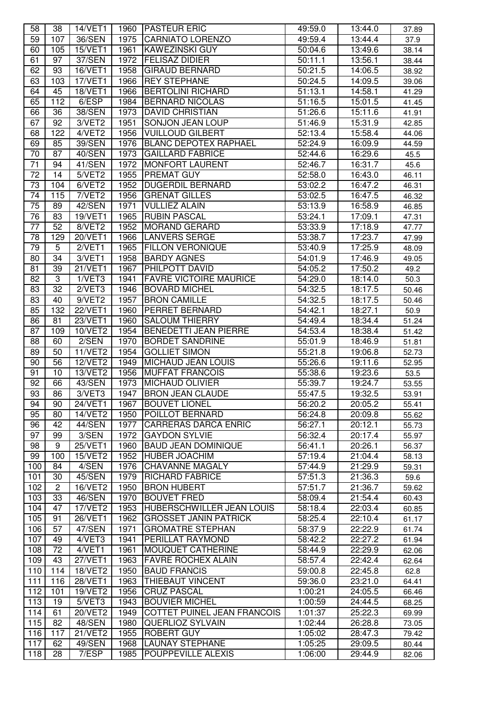| 58              | 38               | 14/VET1             | 1960 | <b>PASTEUR ERIC</b>              | 49:59.0 | 13:44.0 | 37.89 |
|-----------------|------------------|---------------------|------|----------------------------------|---------|---------|-------|
| 59              | 107              | 36/SEN              | 1975 | <b>CARNIATO LORENZO</b>          | 49:59.4 | 13:44.4 | 37.9  |
| 60              | 105              | 15/VET1             | 1961 | <b>KAWEZINSKI GUY</b>            | 50:04.6 | 13:49.6 | 38.14 |
| 61              | 97               | 37/SEN              | 1972 | <b>FELISAZ DIDIER</b>            | 50:11.1 | 13:56.1 | 38.44 |
| 62              | 93               | 16/VET1             | 1958 | <b>GIRAUD BERNARD</b>            | 50:21.5 | 14:06.5 | 38.92 |
| 63              | 103              | 17/VET1             | 1966 | <b>REY STEPHANE</b>              | 50:24.5 | 14:09.5 | 39.06 |
| 64              | 45               | <b>18/VET1</b>      | 1966 | <b>BERTOLINI RICHARD</b>         | 51:13.1 | 14:58.1 | 41.29 |
| 65              | $11\overline{2}$ | 6/ESP               | 1984 | <b>BERNARD NICOLAS</b>           | 51:16.5 | 15:01.5 | 41.45 |
| 66              | $\overline{36}$  | 38/SEN              | 1973 | <b>DAVID CHRISTIAN</b>           | 51:26.6 | 15:11.6 |       |
| 67              | $\overline{92}$  | 3/VET2              | 1951 | <b>SONJON JEAN LOUP</b>          | 51:46.9 | 15:31.9 | 41.91 |
|                 |                  | 4/VET2              |      | <b>VUILLOUD GILBERT</b>          |         |         | 42.85 |
| 68              | 122              |                     | 1956 |                                  | 52:13.4 | 15:58.4 | 44.06 |
| 69              | 85               | 39/SEN              | 1976 | <b>BLANC DEPOTEX RAPHAEL</b>     | 52:24.9 | 16:09.9 | 44.59 |
| $\overline{70}$ | 87               | 40/SEN              | 1973 | <b>GAILLARD FABRICE</b>          | 52:44.6 | 16:29.6 | 45.5  |
| 71              | 94               | 41/SEN              | 1972 | <b>MONFORT LAURENT</b>           | 52:46.7 | 16:31.7 | 45.6  |
| 72              | 14               | 5/VET2              | 1955 | PREMAT GUY                       | 52:58.0 | 16:43.0 | 46.11 |
| $\overline{73}$ | 104              | 6/VET2              | 1952 | <b>DUGERDIL BERNARD</b>          | 53:02.2 | 16:47.2 | 46.31 |
| 74              | 115              | 7/VET2              | 1956 | <b>GRENAT GILLES</b>             | 53:02.5 | 16:47.5 | 46.32 |
| 75              | 89               | 42/SEN              | 1971 | <b>VULLIEZ ALAIN</b>             | 53:13.9 | 16:58.9 | 46.85 |
| 76              | 83               | 19/VET1             | 1965 | <b>RUBIN PASCAL</b>              | 53:24.1 | 17:09.1 | 47.31 |
| $\overline{77}$ | 52               | 8/VET2              | 1952 | <b>MORAND GERARD</b>             | 53:33.9 | 17:18.9 | 47.77 |
| 78              | 129              | 20/VET1             | 1966 | <b>LANVERS SERGE</b>             | 53:38.7 | 17:23.7 | 47.99 |
| 79              | 5                | 2/VET1              | 1965 | <b>FILLON VERONIQUE</b>          | 53:40.9 | 17:25.9 | 48.09 |
| 80              | 34               | 3/VET1              | 1958 | <b>BARDY AGNES</b>               | 54:01.9 | 17:46.9 | 49.05 |
| 81              | 39               | 21/VET1             | 1967 | <b>PHILPOTT DAVID</b>            | 54:05.2 | 17:50.2 | 49.2  |
| 82              | 3                | $\overline{1}/VET3$ | 1941 | <b>FAVRE VICTOIRE MAURICE</b>    | 54:29.0 | 18:14.0 | 50.3  |
| 83              | $\overline{32}$  | 2/VET3              | 1946 | <b>BOVARD MICHEL</b>             | 54:32.5 | 18:17.5 | 50.46 |
| 83              | 40               | 9/VET2              | 1957 | <b>BRON CAMILLE</b>              | 54:32.5 | 18:17.5 | 50.46 |
| 85              | 132              | 22/VET1             | 1960 | <b>PERRET BERNARD</b>            | 54:42.1 | 18:27.1 | 50.9  |
| 86              | 81               | 23/VET1             | 1960 | <b>SALOUM THIERRY</b>            | 54:49.4 | 18:34.4 | 51.24 |
| $\overline{87}$ | 109              | 10/VET2             | 1954 | <b>BENEDETTI JEAN PIERRE</b>     | 54:53.4 | 18:38.4 | 51.42 |
| 88              | 60               | 2/SEN               | 1970 | <b>BORDET SANDRINE</b>           | 55:01.9 | 18:46.9 | 51.81 |
| 89              | 50               | 11/VET2             | 1954 | <b>GOLLIET SIMON</b>             | 55:21.8 | 19:06.8 | 52.73 |
| $\overline{90}$ | 56               | <b>12/VET2</b>      | 1949 | <b>MICHAUD JEAN LOUIS</b>        | 55:26.6 | 19:11.6 | 52.95 |
| 91              | 10               | <b>13/VET2</b>      | 1956 | <b>MUFFAT FRANCOIS</b>           | 55:38.6 | 19:23.6 |       |
|                 |                  | 43/SEN              |      |                                  |         |         | 53.5  |
| 92              | 66               |                     | 1973 | <b>MICHAUD OLIVIER</b>           | 55:39.7 | 19:24.7 | 53.55 |
| 93              | 86               | 3/VET3              | 1947 | <b>BRON JEAN CLAUDE</b>          | 55:47.5 | 19:32.5 | 53.91 |
| 94              | 90               | 24/VET1             | 1967 | <b>BOUVET LIONEL</b>             | 56:20.2 | 20:05.2 | 55.41 |
| 95              | 80               | <b>14/VET2</b>      | 1950 | <b>POILLOT BERNARD</b>           | 56:24.8 | 20:09.8 | 55.62 |
| 96              | 42               | 44/SEN              | 1977 | <b>CARRERAS DARCA ENRIC</b>      | 56:27.1 | 20:12.1 | 55.73 |
| 97              | 99               | 3/SEN               | 1972 | <b>GAYDON SYLVIE</b>             | 56:32.4 | 20:17.4 | 55.97 |
| 98              | 9                | 25/VET1             | 1960 | <b>BAUD JEAN DOMINIQUE</b>       | 56:41.1 | 20:26.1 | 56.37 |
| 99              | 100              | <b>15/VET2</b>      | 1952 | <b>HUBER JOACHIM</b>             | 57:19.4 | 21:04.4 | 58.13 |
| 100             | 84               | 4/SEN               | 1976 | <b>CHAVANNE MAGALY</b>           | 57:44.9 | 21:29.9 | 59.31 |
| 101             | 30               | 45/SEN              | 1979 | <b>RICHARD FABRICE</b>           | 57:51.3 | 21:36.3 | 59.6  |
| 102             | $\overline{2}$   | 16/VET2             | 1950 | <b>BRON HUBERT</b>               | 57:51.7 | 21:36.7 | 59.62 |
| 103             | 33               | 46/SEN              | 1970 | <b>BOUVET FRED</b>               | 58:09.4 | 21:54.4 | 60.43 |
| 104             | 47               | 17/VET2             | 1953 | <b>HUBERSCHWILLER JEAN LOUIS</b> | 58:18.4 | 22:03.4 | 60.85 |
| 105             | 91               | 26/VET1             | 1962 | <b>GROSSET JANIN PATRICK</b>     | 58:25.4 | 22:10.4 | 61.17 |
| 106             | 57               | 47/SEN              | 1971 | <b>GROMATRE STEPHAN</b>          | 58:37.9 | 22:22.9 | 61.74 |
| 107             | 49               | 4/VET3              | 1941 | PERILLAT RAYMOND                 | 58:42.2 | 22:27.2 | 61.94 |
| 108             | 72               | 4/VET1              | 1961 | <b>MOUQUET CATHERINE</b>         | 58:44.9 | 22:29.9 | 62.06 |
| 109             | 43               | 27/VET1             | 1963 | <b>FAVRE ROCHEX ALAIN</b>        | 58:57.4 | 22:42.4 | 62.64 |
| 110             | 114              | <b>18/VET2</b>      | 1950 | <b>BAUD FRANCIS</b>              | 59:00.8 | 22:45.8 | 62.8  |
| 111             | 116              | 28/VET1             | 1963 | THIEBAUT VINCENT                 | 59:36.0 | 23:21.0 | 64.41 |
| 112             | 101              | <b>19/VET2</b>      | 1956 | <b>CRUZ PASCAL</b>               | 1:00:21 | 24:05.5 | 66.46 |
| 113             | 19               | 5/VET3              | 1943 | <b>BOUVIER MICHEL</b>            | 1:00:59 | 24:44.5 | 68.25 |
| 114             | 61               | 20/VET2             | 1949 | COTTET PUINEL JEAN FRANCOIS      | 1:01:37 | 25:22.3 |       |
| 115             | 82               |                     | 1980 | <b>QUERLIOZ SYLVAIN</b>          |         |         | 69.99 |
|                 |                  | 48/SEN              |      |                                  | 1:02:44 | 26:28.8 | 73.05 |
| 116             | 117              | 21/VET2             | 1955 | <b>ROBERT GUY</b>                | 1:05:02 | 28:47.3 | 79.42 |
| 117             | 62               | 49/SEN              | 1968 | <b>LAUNAY STEPHANE</b>           | 1:05:25 | 29:09.5 | 80.44 |
| 118             | 28               | 7/ESP               | 1985 | <b>POUPPEVILLE ALEXIS</b>        | 1:06:00 | 29:44.9 | 82.06 |